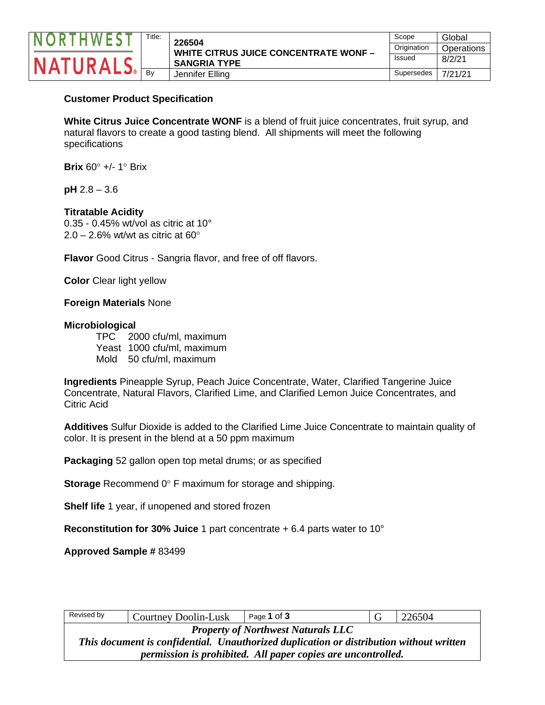

## **Customer Product Specification**

**White Citrus Juice Concentrate WONF** is a blend of fruit juice concentrates, fruit syrup, and natural flavors to create a good tasting blend. All shipments will meet the following specifications

**Brix** 60° +/- 1° Brix

**pH** 2.8 – 3.6

## **Titratable Acidity**

0.35 - 0.45% wt/vol as citric at 10°  $2.0 - 2.6\%$  wt/wt as citric at 60 $^{\circ}$ 

**Flavor** Good Citrus - Sangria flavor, and free of off flavors.

**Color** Clear light yellow

### **Foreign Materials** None

#### **Microbiological**

TPC 2000 cfu/ml, maximum Yeast 1000 cfu/ml, maximum Mold 50 cfu/ml, maximum

**Ingredients** Pineapple Syrup, Peach Juice Concentrate, Water, Clarified Tangerine Juice Concentrate, Natural Flavors, Clarified Lime, and Clarified Lemon Juice Concentrates, and Citric Acid

**Additives** Sulfur Dioxide is added to the Clarified Lime Juice Concentrate to maintain quality of color. It is present in the blend at a 50 ppm maximum

**Packaging** 52 gallon open top metal drums; or as specified

**Storage** Recommend 0° F maximum for storage and shipping.

**Shelf life** 1 year, if unopened and stored frozen

**Reconstitution for 30% Juice** 1 part concentrate + 6.4 parts water to 10°

**Approved Sample #** 83499

| Revised by                                                                              | <b>Courtney Doolin-Lusk</b> | Page 1 of 3 | G | 226504 |  |
|-----------------------------------------------------------------------------------------|-----------------------------|-------------|---|--------|--|
| <b>Property of Northwest Naturals LLC</b>                                               |                             |             |   |        |  |
| This document is confidential. Unauthorized duplication or distribution without written |                             |             |   |        |  |
| permission is prohibited. All paper copies are uncontrolled.                            |                             |             |   |        |  |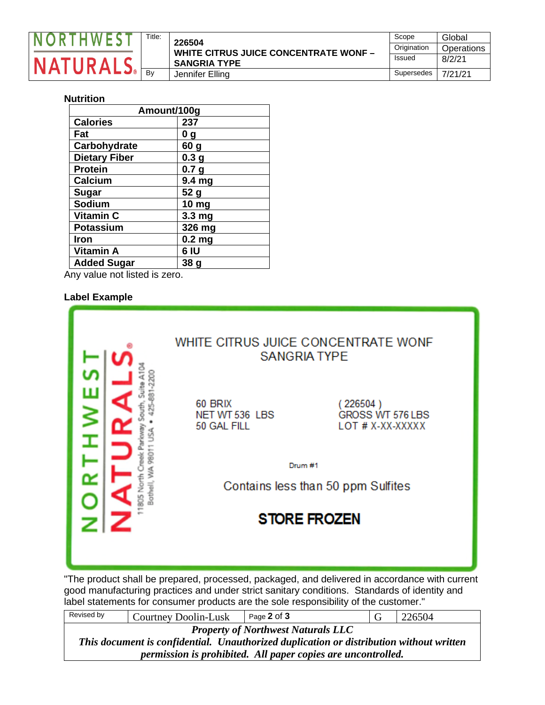

| Title: | 226504                                       | Scope         | Global     |
|--------|----------------------------------------------|---------------|------------|
|        | <b>WHITE CITRUS JUICE CONCENTRATE WONF -</b> | Origination   | Operations |
|        | <b>SANGRIA TYPE</b>                          | <b>Issued</b> | 8/2/21     |
| Bv     | Jennifer Elling                              | Supersedes    | 7/21/21    |

## **Nutrition**

| Amount/100g          |                   |  |  |
|----------------------|-------------------|--|--|
| <b>Calories</b>      | 237               |  |  |
| Fat                  | 0 <sub>g</sub>    |  |  |
| Carbohydrate         | 60 <sub>g</sub>   |  |  |
| <b>Dietary Fiber</b> | 0.3 <sub>g</sub>  |  |  |
| <b>Protein</b>       | 0.7 <sub>g</sub>  |  |  |
| Calcium              | 9.4 mg            |  |  |
| Sugar                | 52 g              |  |  |
| Sodium               | 10 mg             |  |  |
| Vitamin C            | 3.3 mg            |  |  |
| <b>Potassium</b>     | 326 mg            |  |  |
| <b>Iron</b>          | 0.2 <sub>mg</sub> |  |  |
| <b>Vitamin A</b>     | 6 IU              |  |  |
| <b>Added Sugar</b>   | 38 g              |  |  |

Any value not listed is zero.

#### **Label Example**

|               |                                          | WHITE CITRUS JUICE CONCENTRATE WONF<br><b>SANGRIA TYPE</b> |
|---------------|------------------------------------------|------------------------------------------------------------|
|               | 60 BRIX<br>NET WT 536 LBS<br>50 GAL FILL | (226504)<br>GROSS WT 576 LBS<br>LOT # X-XX-XXXXX           |
| <b>Sothel</b> |                                          | Drum #1<br>Contains less than 50 ppm Sulfites              |
|               |                                          | <b>STORE FROZEN</b>                                        |
|               |                                          |                                                            |

"The product shall be prepared, processed, packaged, and delivered in accordance with current good manufacturing practices and under strict sanitary conditions. Standards of identity and label statements for consumer products are the sole responsibility of the customer."

| Revised by                                                                              | Courtney Doolin-Lusk | Page 2 of 3 |  | 226504 |
|-----------------------------------------------------------------------------------------|----------------------|-------------|--|--------|
| <b>Property of Northwest Naturals LLC</b>                                               |                      |             |  |        |
| This document is confidential. Unauthorized duplication or distribution without written |                      |             |  |        |
| permission is prohibited. All paper copies are uncontrolled.                            |                      |             |  |        |